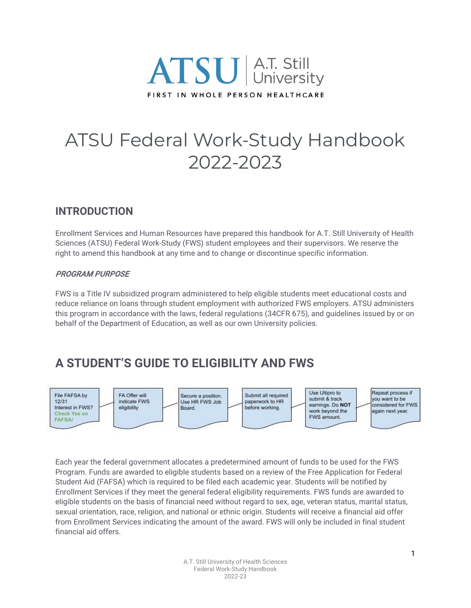

# ATSU Federal Work-Study Handbook 2022-2023

### **INTRODUCTION**

Enrollment Services and Human Resources have prepared this handbook for A.T. Still University of Health Sciences (ATSU) Federal Work-Study (FWS) student employees and their supervisors. We reserve the right to amend this handbook at any time and to change or discontinue specific information.

#### PROGRAM PURPOSE

FWS is a Title IV subsidized program administered to help eligible students meet educational costs and reduce reliance on loans through student employment with authorized FWS employers. ATSU administers this program in accordance with the laws, federal regulations (34CFR 675), and guidelines issued by or on behalf of the Department of Education, as well as our own University policies.

### **A STUDENT'S GUIDE TO ELIGIBILITY AND FWS**



Each year the federal government allocates a predetermined amount of funds to be used for the FWS Program. Funds are awarded to eligible students based on a review of the Free Application for Federal Student Aid (FAFSA) which is required to be filed each academic year. Students will be notified by Enrollment Services if they meet the general federal eligibility requirements. FWS funds are awarded to eligible students on the basis of financial need without regard to sex, age, veteran status, marital status, sexual orientation, race, religion, and national or ethnic origin. Students will receive a financial aid offer from Enrollment Services indicating the amount of the award. FWS will only be included in final student financial aid offers.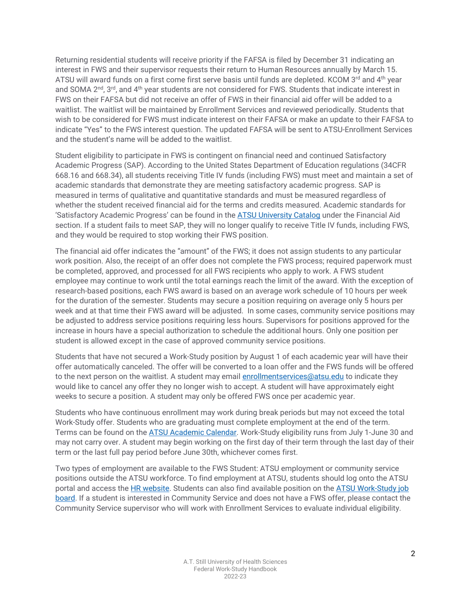Returning residential students will receive priority if the FAFSA is filed by December 31 indicating an interest in FWS and their supervisor requests their return to Human Resources annually by March 15. ATSU will award funds on a first come first serve basis until funds are depleted. KCOM 3<sup>rd</sup> and 4<sup>th</sup> year and SOMA 2<sup>nd</sup>, 3<sup>rd</sup>, and 4<sup>th</sup> year students are not considered for FWS. Students that indicate interest in FWS on their FAFSA but did not receive an offer of FWS in their financial aid offer will be added to a waitlist. The waitlist will be maintained by Enrollment Services and reviewed periodically. Students that wish to be considered for FWS must indicate interest on their FAFSA or make an update to their FAFSA to indicate "Yes" to the FWS interest question. The updated FAFSA will be sent to ATSU-Enrollment Services and the student's name will be added to the waitlist.

Student eligibility to participate in FWS is contingent on financial need and continued Satisfactory Academic Progress (SAP). According to the United States Department of Education regulations (34CFR 668.16 and 668.34), all students receiving Title IV funds (including FWS) must meet and maintain a set of academic standards that demonstrate they are meeting satisfactory academic progress. SAP is measured in terms of qualitative and quantitative standards and must be measured regardless of whether the student received financial aid for the terms and credits measured. Academic standards for 'Satisfactory Academic Progress' can be found in the [ATSU University Catalog](http://catalog.atsu.edu/) under the Financial Aid section. If a student fails to meet SAP, they will no longer qualify to receive Title IV funds, including FWS, and they would be required to stop working their FWS position.

The financial aid offer indicates the "amount" of the FWS; it does not assign students to any particular work position. Also, the receipt of an offer does not complete the FWS process; required paperwork must be completed, approved, and processed for all FWS recipients who apply to work. A FWS student employee may continue to work until the total earnings reach the limit of the award. With the exception of research-based positions, each FWS award is based on an average work schedule of 10 hours per week for the duration of the semester. Students may secure a position requiring on average only 5 hours per week and at that time their FWS award will be adjusted. In some cases, community service positions may be adjusted to address service positions requiring less hours. Supervisors for positions approved for the increase in hours have a special authorization to schedule the additional hours. Only one position per student is allowed except in the case of approved community service positions.

Students that have not secured a Work-Study position by August 1 of each academic year will have their offer automatically canceled. The offer will be converted to a loan offer and the FWS funds will be offered to the next person on the waitlist. A student may email [enrollmentservices@atsu.edu](mailto:enrollmentservices@atsu.edu) to indicate they would like to cancel any offer they no longer wish to accept. A student will have approximately eight weeks to secure a position. A student may only be offered FWS once per academic year.

Students who have continuous enrollment may work during break periods but may not exceed the total Work-Study offer. Students who are graduating must complete employment at the end of the term. Terms can be found on th[e ATSU Academic Calendar.](https://www.atsu.edu/academic-calendar) Work-Study eligibility runs from July 1-June 30 and may not carry over. A student may begin working on the first day of their term through the last day of their term or the last full pay period before June 30th, whichever comes first.

Two types of employment are available to the FWS Student: ATSU employment or community service positions outside the ATSU workforce. To find employment at ATSU, students should log onto the ATSU portal and access the [HR website.](https://hr.atsu.edu/) Students can also find available position on the ATSU Work-Study job [board.](https://recruiting2.ultipro.com/ATS1000ATSU/JobBoard/57d2e60b-37a8-4bf7-a7c6-121a822ac1bc/?q=&o=postedDateDesc&w=&wc=&we=&wpst=) If a student is interested in Community Service and does not have a FWS offer, please contact the Community Service supervisor who will work with Enrollment Services to evaluate individual eligibility.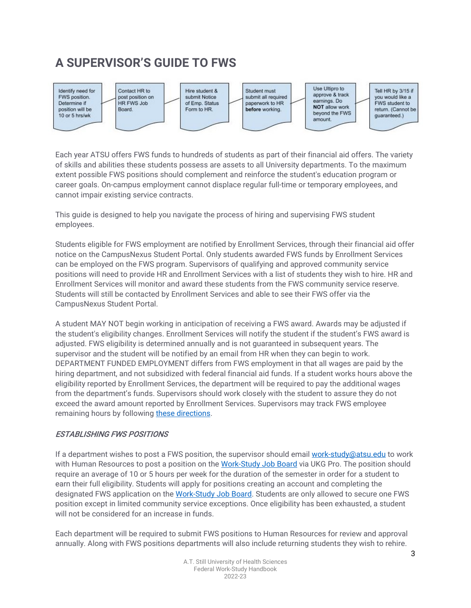## **A SUPERVISOR'S GUIDE TO FWS**



Each year ATSU offers FWS funds to hundreds of students as part of their financial aid offers. The variety of skills and abilities these students possess are assets to all University departments. To the maximum extent possible FWS positions should complement and reinforce the student's education program or career goals. On-campus employment cannot displace regular full-time or temporary employees, and cannot impair existing service contracts.

This guide is designed to help you navigate the process of hiring and supervising FWS student employees.

Students eligible for FWS employment are notified by Enrollment Services, through their financial aid offer notice on the CampusNexus Student Portal. Only students awarded FWS funds by Enrollment Services can be employed on the FWS program. Supervisors of qualifying and approved community service positions will need to provide HR and Enrollment Services with a list of students they wish to hire. HR and Enrollment Services will monitor and award these students from the FWS community service reserve. Students will still be contacted by Enrollment Services and able to see their FWS offer via the CampusNexus Student Portal.

A student MAY NOT begin working in anticipation of receiving a FWS award. Awards may be adjusted if the student's eligibility changes. Enrollment Services will notify the student if the student's FWS award is adjusted. FWS eligibility is determined annually and is not guaranteed in subsequent years. The supervisor and the student will be notified by an email from HR when they can begin to work. DEPARTMENT FUNDED EMPLOYMENT differs from FWS employment in that all wages are paid by the hiring department, and not subsidized with federal financial aid funds. If a student works hours above the eligibility reported by Enrollment Services, the department will be required to pay the additional wages from the department's funds. Supervisors should work closely with the student to assure they do not exceed the award amount reported by Enrollment Services. Supervisors may track FWS employee remaining hours by followin[g these directions.](https://docs.google.com/a/atsu.edu/viewer?a=v&pid=sites&srcid=YXRzdS5lZHV8aHVtYW4tcmVzb3VyY2VzfGd4Ojc4YWI0NGYzYmRjZjQ5OGQ)

#### ESTABLISHING FWS POSITIONS

If a department wishes to post a FWS position, the supervisor should email [work-study@atsu.edu](mailto:work-study@atsu.edu) to work with Human Resources to post a position on the [Work-Study Job Board](https://recruiting2.ultipro.com/ATS1000ATSU/JobBoard/57d2e60b-37a8-4bf7-a7c6-121a822ac1bc/?q=&o=postedDateDesc&w=&wc=&we=&wpst=) via UKG Pro. The position should require an average of 10 or 5 hours per week for the duration of the semester in order for a student to earn their full eligibility. Students will apply for positions creating an account and completing the designated FWS application on the [Work-Study Job Board.](https://recruiting2.ultipro.com/ATS1000ATSU/JobBoard/57d2e60b-37a8-4bf7-a7c6-121a822ac1bc/?q=&o=postedDateDesc&w=&wc=&we=&wpst=) Students are only allowed to secure one FWS position except in limited community service exceptions. Once eligibility has been exhausted, a student will not be considered for an increase in funds.

Each department will be required to submit FWS positions to Human Resources for review and approval annually. Along with FWS positions departments will also include returning students they wish to rehire.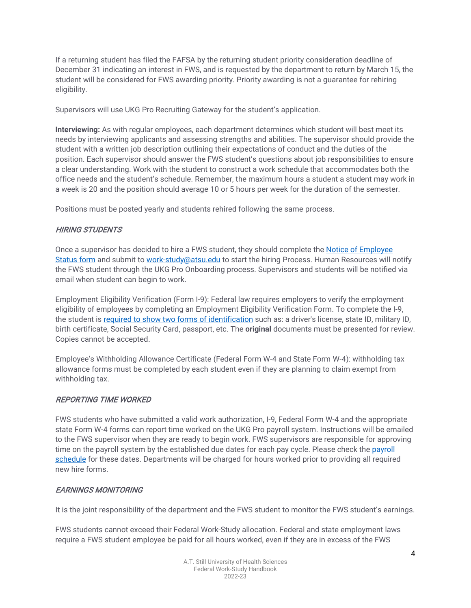If a returning student has filed the FAFSA by the returning student priority consideration deadline of December 31 indicating an interest in FWS, and is requested by the department to return by March 15, the student will be considered for FWS awarding priority. Priority awarding is not a guarantee for rehiring eligibility.

Supervisors will use UKG Pro Recruiting Gateway for the student's application.

**Interviewing:** As with regular employees, each department determines which student will best meet its needs by interviewing applicants and assessing strengths and abilities. The supervisor should provide the student with a written job description outlining their expectations of conduct and the duties of the position. Each supervisor should answer the FWS student's questions about job responsibilities to ensure a clear understanding. Work with the student to construct a work schedule that accommodates both the office needs and the student's schedule. Remember, the maximum hours a student a student may work in a week is 20 and the position should average 10 or 5 hours per week for the duration of the semester.

Positions must be posted yearly and students rehired following the same process.

#### HIRING STUDENTS

Once a supervisor has decided to hire a FWS student, they should complete the **Notice of Employee** [Status form](https://hr.atsu.edu/wp-content/uploads/2020/09/Work-Study-Status-Form-Returning-WS-Student-05062020.pdf) and submit t[o work-study@atsu.edu](mailto:work-study@atsu.edu) to start the hiring Process. Human Resources will notify the FWS student through the UKG Pro Onboarding process. Supervisors and students will be notified via email when student can begin to work.

Employment Eligibility Verification (Form I-9): Federal law requires employers to verify the employment eligibility of employees by completing an Employment Eligibility Verification Form. To complete the I-9, the student i[s required to show two forms of identification](https://www.uscis.gov/i-9-central/form-i-9-acceptable-documents) such as: a driver's license, state ID, military ID, birth certificate, Social Security Card, passport, etc. The **original** documents must be presented for review. Copies cannot be accepted.

Employee's Withholding Allowance Certificate (Federal Form W-4 and State Form W-4): withholding tax allowance forms must be completed by each student even if they are planning to claim exempt from withholding tax.

#### REPORTING TIME WORKED

FWS students who have submitted a valid work authorization, I-9, Federal Form W-4 and the appropriate state Form W-4 forms can report time worked on the UKG Pro payroll system. Instructions will be emailed to the FWS supervisor when they are ready to begin work. FWS supervisors are responsible for approving time on the payroll system by the established due dates for each pay cycle. Please check the [payroll](https://docs.google.com/spreadsheets/d/1L9-y6WRvIPr16XgbXpPUZKNOUX4w_4EqRCj4b0XtJCg/edit?ts=5feb4b7d#gid=0)  [schedule](https://docs.google.com/spreadsheets/d/1L9-y6WRvIPr16XgbXpPUZKNOUX4w_4EqRCj4b0XtJCg/edit?ts=5feb4b7d#gid=0) for these dates. Departments will be charged for hours worked prior to providing all required new hire forms.

#### EARNINGS MONITORING

It is the joint responsibility of the department and the FWS student to monitor the FWS student's earnings.

FWS students cannot exceed their Federal Work-Study allocation. Federal and state employment laws require a FWS student employee be paid for all hours worked, even if they are in excess of the FWS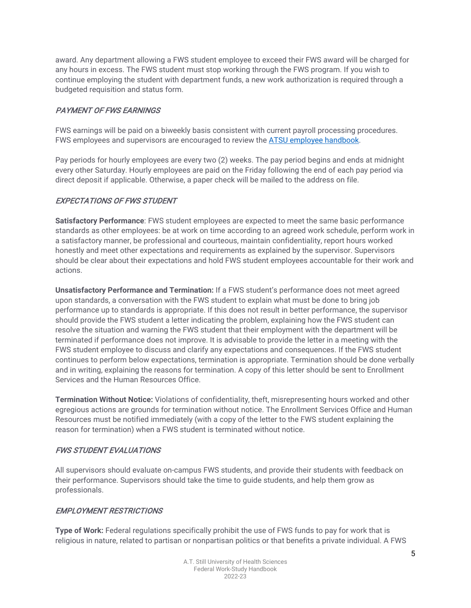award. Any department allowing a FWS student employee to exceed their FWS award will be charged for any hours in excess. The FWS student must stop working through the FWS program. If you wish to continue employing the student with department funds, a new work authorization is required through a budgeted requisition and status form.

#### PAYMENT OF FWS EARNINGS

FWS earnings will be paid on a biweekly basis consistent with current payroll processing procedures. FWS employees and supervisors are encouraged to review th[e ATSU employee handbook.](https://hr.atsu.edu/policies-handbooks/)

Pay periods for hourly employees are every two (2) weeks. The pay period begins and ends at midnight every other Saturday. Hourly employees are paid on the Friday following the end of each pay period via direct deposit if applicable. Otherwise, a paper check will be mailed to the address on file.

#### EXPECTATIONS OF FWS STUDENT

**Satisfactory Performance**: FWS student employees are expected to meet the same basic performance standards as other employees: be at work on time according to an agreed work schedule, perform work in a satisfactory manner, be professional and courteous, maintain confidentiality, report hours worked honestly and meet other expectations and requirements as explained by the supervisor. Supervisors should be clear about their expectations and hold FWS student employees accountable for their work and actions.

**Unsatisfactory Performance and Termination:** If a FWS student's performance does not meet agreed upon standards, a conversation with the FWS student to explain what must be done to bring job performance up to standards is appropriate. If this does not result in better performance, the supervisor should provide the FWS student a letter indicating the problem, explaining how the FWS student can resolve the situation and warning the FWS student that their employment with the department will be terminated if performance does not improve. It is advisable to provide the letter in a meeting with the FWS student employee to discuss and clarify any expectations and consequences. If the FWS student continues to perform below expectations, termination is appropriate. Termination should be done verbally and in writing, explaining the reasons for termination. A copy of this letter should be sent to Enrollment Services and the Human Resources Office.

**Termination Without Notice:** Violations of confidentiality, theft, misrepresenting hours worked and other egregious actions are grounds for termination without notice. The Enrollment Services Office and Human Resources must be notified immediately (with a copy of the letter to the FWS student explaining the reason for termination) when a FWS student is terminated without notice.

#### FWS STUDENT EVALUATIONS

All supervisors should evaluate on-campus FWS students, and provide their students with feedback on their performance. Supervisors should take the time to guide students, and help them grow as professionals.

#### EMPLOYMENT RESTRICTIONS

**Type of Work:** Federal regulations specifically prohibit the use of FWS funds to pay for work that is religious in nature, related to partisan or nonpartisan politics or that benefits a private individual. A FWS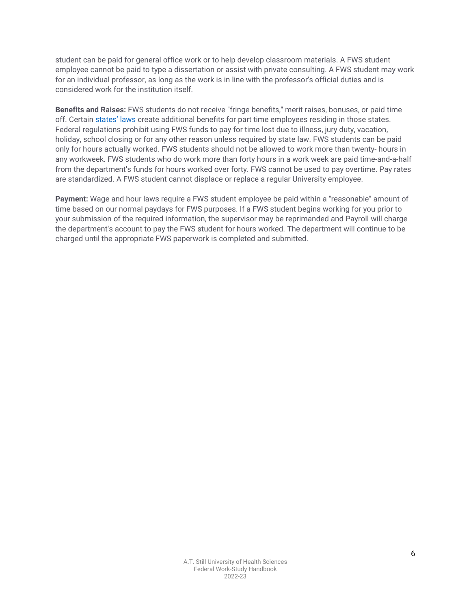student can be paid for general office work or to help develop classroom materials. A FWS student employee cannot be paid to type a dissertation or assist with private consulting. A FWS student may work for an individual professor, as long as the work is in line with the professor's official duties and is considered work for the institution itself.

**Benefits and Raises:** FWS students do not receive "fringe benefits," merit raises, bonuses, or paid time off. Certain [states' laws](https://hr.atsu.edu/policies-handbooks/#labor-laws) create additional benefits for part time employees residing in those states. Federal regulations prohibit using FWS funds to pay for time lost due to illness, jury duty, vacation, holiday, school closing or for any other reason unless required by state law. FWS students can be paid only for hours actually worked. FWS students should not be allowed to work more than twenty- hours in any workweek. FWS students who do work more than forty hours in a work week are paid time-and-a-half from the department's funds for hours worked over forty. FWS cannot be used to pay overtime. Pay rates are standardized. A FWS student cannot displace or replace a regular University employee.

**Payment:** Wage and hour laws require a FWS student employee be paid within a "reasonable" amount of time based on our normal paydays for FWS purposes. If a FWS student begins working for you prior to your submission of the required information, the supervisor may be reprimanded and Payroll will charge the department's account to pay the FWS student for hours worked. The department will continue to be charged until the appropriate FWS paperwork is completed and submitted.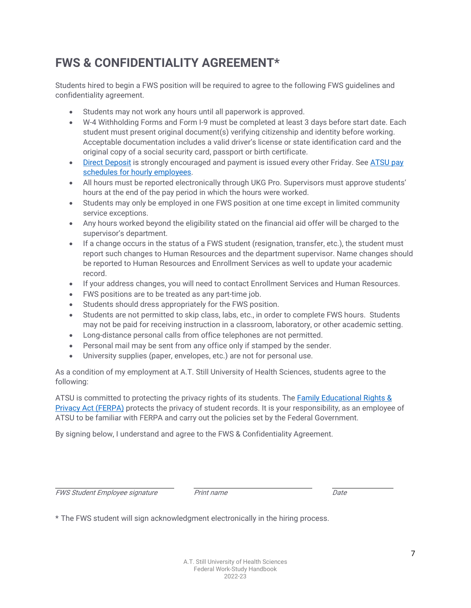### **FWS & CONFIDENTIALITY AGREEMENT\***

Students hired to begin a FWS position will be required to agree to the following FWS guidelines and confidentiality agreement.

- Students may not work any hours until all paperwork is approved.
- W-4 Withholding Forms and Form I-9 must be completed at least 3 days before start date. Each student must present original document(s) verifying citizenship and identity before working. Acceptable documentation includes a valid driver's license or state identification card and the original copy of a social security card, passport or birth certificate.
- [Direct Deposit](https://docs.google.com/a/atsu.edu/viewer?a=v&pid=sites&srcid=YXRzdS5lZHV8aHVtYW4tcmVzb3VyY2VzfGd4OjU2MzJiYmFiNDUyMjI5NmY) is strongly encouraged and payment is issued every other Friday. See ATSU pay [schedules for hourly employees.](https://docs.google.com/spreadsheets/d/1L9-y6WRvIPr16XgbXpPUZKNOUX4w_4EqRCj4b0XtJCg/edit?ts=5feb4b7d#gid=0)
- All hours must be reported electronically through UKG Pro. Supervisors must approve students' hours at the end of the pay period in which the hours were worked.
- Students may only be employed in one FWS position at one time except in limited community service exceptions.
- Any hours worked beyond the eligibility stated on the financial aid offer will be charged to the supervisor's department.
- If a change occurs in the status of a FWS student (resignation, transfer, etc.), the student must report such changes to Human Resources and the department supervisor. Name changes should be reported to Human Resources and Enrollment Services as well to update your academic record.
- If your address changes, you will need to contact Enrollment Services and Human Resources.
- FWS positions are to be treated as any part-time job.
- Students should dress appropriately for the FWS position.
- Students are not permitted to skip class, labs, etc., in order to complete FWS hours. Students may not be paid for receiving instruction in a classroom, laboratory, or other academic setting.
- Long-distance personal calls from office telephones are not permitted.
- Personal mail may be sent from any office only if stamped by the sender.
- University supplies (paper, envelopes, etc.) are not for personal use.

As a condition of my employment at A.T. Still University of Health Sciences, students agree to the following:

ATSU is committed to protecting the privacy rights of its students. The [Family Educational Rights &](http://www.atsu.edu/department-of-student-affairs/enrollment-services/my-academics#ferpa-student-privacy)  [Privacy Act \(FERPA\)](http://www.atsu.edu/department-of-student-affairs/enrollment-services/my-academics#ferpa-student-privacy) protects the privacy of student records. It is your responsibility, as an employee of ATSU to be familiar with FERPA and carry out the policies set by the Federal Government.

By signing below, I understand and agree to the FWS & Confidentiality Agreement.

FWS Student Employee signature Print name Date

\* The FWS student will sign acknowledgment electronically in the hiring process.